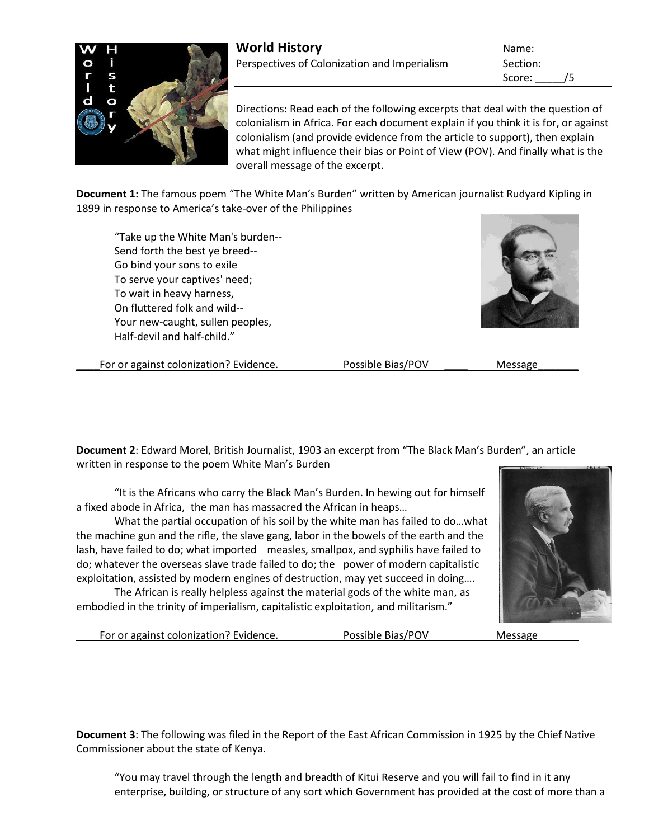

Score: /5

Directions: Read each of the following excerpts that deal with the question of colonialism in Africa. For each document explain if you think it is for, or against colonialism (and provide evidence from the article to support), then explain what might influence their bias or Point of View (POV). And finally what is the overall message of the excerpt.

**Document 1:** The famous poem "The White Man's Burden" written by American journalist Rudyard Kipling in 1899 in response to America's take-over of the Philippines

"Take up the White Man's burden-- Send forth the best ye breed-- Go bind your sons to exile To serve your captives' need; To wait in heavy harness, On fluttered folk and wild-- Your new-caught, sullen peoples, Half-devil and half-child."



For or against colonization? Evidence. Possible Bias/POV Message

**Document 2**: Edward Morel, British Journalist, 1903 an excerpt from "The Black Man's Burden", an article written in response to the poem White Man's Burden

"It is the Africans who carry the Black Man's Burden. In hewing out for himself a fixed abode in Africa, the man has massacred the African in heaps…

What the partial occupation of his soil by the white man has failed to do…what the machine gun and the rifle, the slave gang, labor in the bowels of the earth and the lash, have failed to do; what imported measles, smallpox, and syphilis have failed to do; whatever the overseas slave trade failed to do; the power of modern capitalistic exploitation, assisted by modern engines of destruction, may yet succeed in doing….

The African is really helpless against the material gods of the white man, as embodied in the trinity of imperialism, capitalistic exploitation, and militarism."

For or against colonization? Evidence. Possible Bias/POV Message



**Document 3**: The following was filed in the Report of the East African Commission in 1925 by the Chief Native Commissioner about the state of Kenya.

"You may travel through the length and breadth of Kitui Reserve and you will fail to find in it any enterprise, building, or structure of any sort which Government has provided at the cost of more than a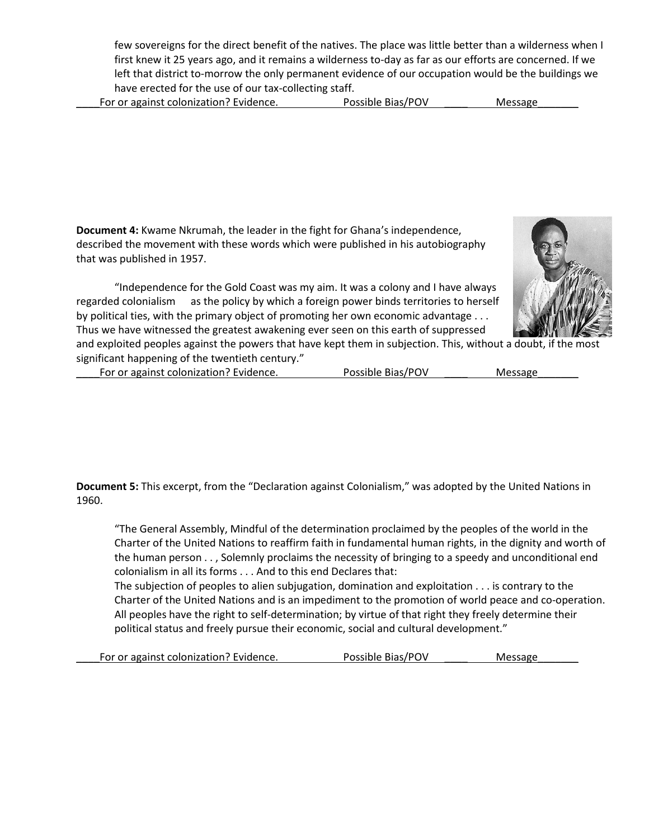few sovereigns for the direct benefit of the natives. The place was little better than a wilderness when I first knew it 25 years ago, and it remains a wilderness to-day as far as our efforts are concerned. If we left that district to-morrow the only permanent evidence of our occupation would be the buildings we have erected for the use of our tax-collecting staff.

For or against colonization? Evidence. Possible Bias/POV Message

**Document 4:** Kwame Nkrumah, the leader in the fight for Ghana's independence, described the movement with these words which were published in his autobiography that was published in 1957.

"Independence for the Gold Coast was my aim. It was a colony and I have always regarded colonialism as the policy by which a foreign power binds territories to herself by political ties, with the primary object of promoting her own economic advantage . . . Thus we have witnessed the greatest awakening ever seen on this earth of suppressed



and exploited peoples against the powers that have kept them in subjection. This, without a doubt, if the most significant happening of the twentieth century."

For or against colonization? Evidence. Possible Bias/POV Message

**Document 5:** This excerpt, from the "Declaration against Colonialism," was adopted by the United Nations in 1960.

"The General Assembly, Mindful of the determination proclaimed by the peoples of the world in the Charter of the United Nations to reaffirm faith in fundamental human rights, in the dignity and worth of the human person . . , Solemnly proclaims the necessity of bringing to a speedy and unconditional end colonialism in all its forms . . . And to this end Declares that:

The subjection of peoples to alien subjugation, domination and exploitation . . . is contrary to the Charter of the United Nations and is an impediment to the promotion of world peace and co-operation. All peoples have the right to self-determination; by virtue of that right they freely determine their political status and freely pursue their economic, social and cultural development."

For or against colonization? Evidence. Possible Bias/POV Message